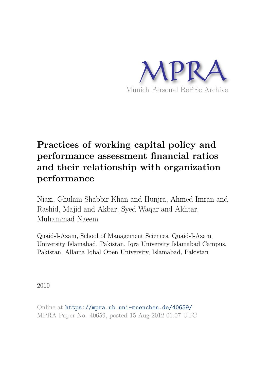

# **Practices of working capital policy and performance assessment financial ratios and their relationship with organization performance**

Niazi, Ghulam Shabbir Khan and Hunjra, Ahmed Imran and Rashid, Majid and Akbar, Syed Waqar and Akhtar, Muhammad Naeem

Quaid-I-Azam, School of Management Sciences, Quaid-I-Azam University Islamabad, Pakistan, Iqra University Islamabad Campus, Pakistan, Allama Iqbal Open University, Islamabad, Pakistan

2010

Online at https://mpra.ub.uni-muenchen.de/40659/ MPRA Paper No. 40659, posted 15 Aug 2012 01:07 UTC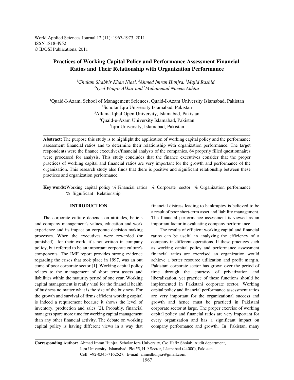World Applied Sciences Journal 12 (11): 1967-1973, 2011 ISSN 1818-4952 © IDOSI Publications, 2011

# **Practices of Working Capital Policy and Performance Assessment Financial Ratios and Their Relationship with Organization Performance**

*Ghulam Shabbir Khan Niazi, Ahmed Imran Hunjra, Majid Rashid, <sup>1</sup> <sup>2</sup> <sup>3</sup>* <sup>4</sup>Syed Waqar Akbar and <sup>5</sup>Muhammad Naeem Akhtar

Quaid-I-Azam, School of Management Sciences, Quaid-I-Azam University Islamabad, Pakistan <sup>1</sup> <sup>2</sup>Scholar Iqra University Islamabad, Pakistan <sup>3</sup>Allama Iqbal Open University, Islamabad, Pakistan Quaid-e-Azam University Islamabad, Pakistan <sup>4</sup> <sup>5</sup>Igra University, Islamabad, Pakistan

**Abstract:** The purpose this study is to highlight the application of working capital policy and the performance assessment financial ratios and to determine their relationship with organization performance. The target respondents were the finance executives/financial analysts of the companies. 64 properly filled questionnaires were processed for analysis. This study concludes that the finance executives consider that the proper practices of working capital and financial ratios are very important for the growth and performance of the organization. This research study also finds that there is positive and significant relationship between these practices and organization performance.

**Key words:**Working capital policy % Financial ratios % Corporate sector % Organization performance % Significant Relationship

and company management's values, education and work important factor in evaluating company performance. experience and its impact on corporate decision making The results of efficient working capital and financial processes. When the executives were rewarded (or ratios can be useful in analyzing the efficiency of a punished) for their work, it's not written in company company in different operations. If these practices such policy, but referred to be an important corporate culture's as working capital policy and performance assessment components. The IMF report provides strong evidence financial ratios are exercised an organization would regarding the crises that took place in 1997, was an out achieve a better resource utilization and profit margin. come of poor corporate sector [1]. Working capital policy Pakistani corporate sector has grown over the period of relates to the management of short term assets and time through the courtesy of privatization and liabilities within the maturity period of one year. Working liberalization, yet practice of these functions should be capital management is really vital for the financial health implemented in Pakistani corporate sector. Working of business no matter what is the size of the business. For capital policy and financial performance assessment ratios the growth and survival of firms efficient working capital are very important for the organizational success and is indeed a requirement because it shows the level of growth and hence must be practiced in Pakistani inventory, production and sales [2]. Probably, financial corporate sector at large. The proper exercise of working managers spare more time for working capital management capital policy and financial ratios are very important for than any other financial activity. The debate on working every organization and has a significant impact on capital policy is having different views in a way that company performance and growth. In Pakistan, many

**INTRODUCTION** financial distress leading to bankruptcy is believed to be The corporate culture depends on attitudes, beliefs The financial performance assessment is viewed as an a result of poor short-term asset and liability management.

**Corresponding Author:** Ahmad Imran Hunjra, Scholar Iqra University, C/o Hafiz Shoiab, Audit department, Iqra University, Islamabad, Plot#5, H-9 Sector, Islamabad (44000), Pakistan. Cell: +92-0345-7162527, E-mail: ahmedhunjra@gmail.com.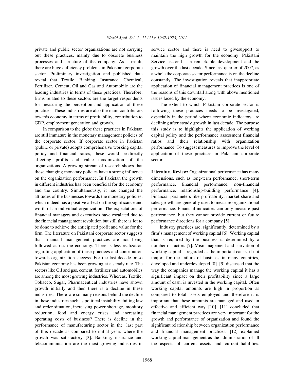out these practices, mainly due to obsolete business maintain the high growth for the economy. Pakistani processes and structure of the company. As a result, Service sector has a remarkable development and the there are huge deficiency problems in Pakistani corporate growth over the last decade. Since last quarter of 2007, as sector. Preliminary investigation and published data a whole the corporate sector performance is on the decline reveal that Textile, Banking, Insurance, Chemical, constantly. The investigation reveals that inappropriate Fertilizer, Cement, Oil and Gas and Automobile are the application of financial management practices is one of leading industries in terms of these practices. Therefore, the reasons of this downfall along with above mentioned firms related to these sectors are the target respondents issues faced by the economy. for measuring the perception and application of these The extent to which Pakistani corporate sector is practices. These industries are also the main contributors following these practices needs to be investigated, towards economy in terms of profitability, contribution to especially in the period where economic indicators are GDP, employment generation and growth. declining after steady growth in last decade. The purpose

are still immature in the monetary management policies of capital policy and the performance assessment financial the corporate sector. If corporate sector in Pakistan ratios and their relationship with organization (public or private) adopts comprehensive working capital performance. To suggest measures to improve the level of policy and financial ratios, these would be directly application of these practices in Pakistani corporate affecting profits and value maximization of the sector. organizations. A growing stream of research shows that these changing monetary policies have a strong influence **Literature Review:** Organizational performance has many on the organization performance. In Pakistan the growth dimensions, such as long-term performance, short-term in different industries has been beneficial for the economy performance, financial performance, non-financial and the country. Simultaneously, it has changed the performance, relationship-building performance [4]. attitudes of the businesses towards the monetary policies, Financial parameters like profitability, market share and which indeed has a positive affect on the significance and sales growth are generally used to measure organizational worth of an individual organization. The expectations of performance. Financial indicators can only measure past financial managers and executives have escalated due to performance, but they cannot provide current or future the financial management revolution but still there is lot to performance directions for a company [5]. be done to achieve the anticipated profit and value for the Industry practices are, significantly, determined by a firm. The literature on Pakistani corporate sector suggests firm's management of working capital [6]. Working capital that financial management practices are not being that is required by the business is determined by a followed across the economy. There is less realization number of factors [7]. Mismanagement and starvation of regarding application of these practices and contribution working capital is regarded as the important cause, if not towards organization success. For the last decade or so major, for the failure of business in many countries, Pakistan economy has been growing at a steady rate. The developed and underdeveloped [8]. [9] discussed that the sectors like Oil and gas, cement, fertilizer and automobiles way the companies manage the working capital it has a are among the most growing industries. Whereas, Textile, significant impact on their profitability since a large Tobacco, Sugar, Pharmaceutical industries have shown amount of cash, is invested in the working capital. Often growth initially and then there is a decline in these working capital amounts are high in proportion as industries. There are so many reasons behind the decline compared to total assets employed and therefore it is in these industries such as political instability, failing law important that these amounts are managed and used in and order situation, increasing power shortage, monitory effective and efficient way [10]. [11] concluded that reduction, food and energy crises and increasing financial management practices are very important for the operating costs of business? There is decline in the growth and performance of organization and found the performance of manufacturing sector in the last part significant relationship between organization performance of this decade as compared to initial years where the and financial management practices. [12] explained growth was satisfactory [3]. Banking, insurance and working capital management as the administration of all telecommunication are the most growing industries in the aspects of current assets and current liabilities.

private and public sector organizations are not carrying service sector and there is need to givesupport to

In comparison to the globe these practices in Pakistan this study is to highlights the application of working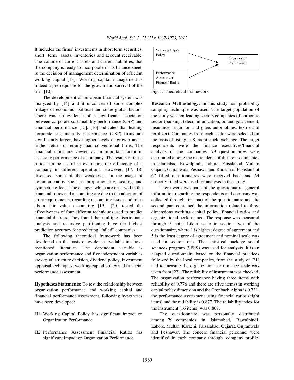It includes the firms' investments in short term securities, short term assets, inventories and account receivable. The volume of current assets and current liabilities, that the company is ready to incorporate in its balance sheet, is the decision of management determination of efficient working capital [13]. Working capital management is indeed a pre-requisite for the growth and survival of the firm [10]. Fig. 1: Theoretical Framework

The development of European financial system was analyzed by [14] and it unconcerned some complex **Research Methodology:** In this study non probability linkage of economic, political and some global factors. sampling technique was used. The target population of There was no evidence of a significant association the study was ten leading sectors companies of corporate between corporate sustainability performance (CSP) and sector (banking, telecommunication, oil and gas, cement, financial performance [15]. [16] indicated that leading insurance, sugar, oil and ghee, automobiles, textile and corporate sustainability performance (CSP) firms are fertilizer). Companies from each sector were selected on significantly larger, have higher levels of growth and a the basis of listing at Karachi stock exchange. The target higher return on equity than conventional firms. The respondents were the finance executives/financial financial ratios are viewed as an important factor in analysts of the companies. 79 questionnaires were assessing performance of a company. The results of these distributed among the respondents of different companies ratios can be useful in evaluating the efficiency of a in Islamabad, Rawalpindi, Lahore, Faisalabad, Multan company in different operations. However, [17, 18] Gujarat, Gujranwala, Peshawar and Karachi of Pakistan but discussed some of the weaknesses in the usage of 67 filled questionnaires were received back and 64 common ratios such as proportionality, scaling and properly filled were used for analysis in this study. symmetric effects. The changes which are observed in the There were two parts of the questionnaire, general financial ratios and accounting are due to the adoption of information regarding the respondents and company was strict requirements, regarding accounting issues and rules collected through first part of the questionnaire and the about fair value accounting [19]. [20] tested the second part contained the information related to three effectiveness of four different techniques used to predict dimensions working capital policy, financial ratios and financial distress. They found that multiple discriminate organizational performance. The response was measured analysis and recursive partitioning have the highest through 5 point Likert scale in section two of the prediction accuracy for predicting "failed" companies. questionnaire, where 1 is highest degree of agreement and

developed on the basis of evidence available in above used in section one. The statistical package social mentioned literature. The dependent variable is sciences program (SPSS) was used for analysis. It is an organization performance and five independent variables adapted questionnaire based on the financial practices are capital structure decision, dividend policy, investment followed by the local companies, from the study of [21] appraisal techniques, working capital policy and financial and to measure the organization performance scale was performance assessment. taken from [22]. The reliability of instrument was checked.

organization performance and working capital and capital policy dimension and the Cronbach Alpha is 0.731, financial performance assessment, following hypotheses the performance assessment using financial ratios (eight have been developed: items) and the reliability is 0.877. The reliability index for

- 
- 



The following theoretical framework has been 5 is the least degree of agreement and nominal scale was **Hypotheses Statements:** To test the relationship between reliability of 0.776 and there are (five items) in working The organization performance having three items with the instrument (16 items) was 0.807.

H1: Working Capital Policy has significant impact on The questionnaire was personally distributed Organization Performance among 79 companies in Islamabad, Rawalpindi, H2: Performance Assessment Financial Ratios has and Peshawar. The concern financial personnel were significant impact on Organization Performance identified in each company through company profile, Lahore, Multan, Karachi, Faisalabad, Gujarat, Gujranwala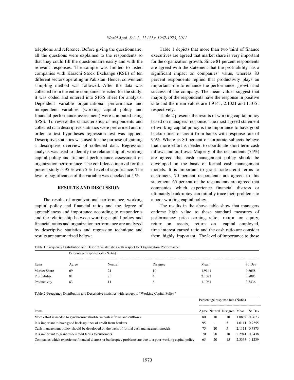all the questions were explained to the respondents so executives are agreed that market share is very important that they could fill the questionnaire easily and with the for the organization growth. Since 81 percent respondents relevant responses. The sample was limited to listed are agreed with the statement that the profitability has a companies with Karachi Stock Exchange (KSE) of ten significant impact on companies' value, whereas 83 different sectors operating in Pakistan. Hence, convenient percent respondents replied that productivity plays an sampling method was followed. After the data was important role to enhance the performance, growth and collected from the entire companies selected for the study, success of the company. The mean values suggest that it was coded and entered into SPSS sheet for analysis. majority of the respondents have the response in positive Dependent variable organizational performance and side and the mean values are 1.9141, 2.1021 and 1.1061 independent variables (working capital policy and respectively. financial performance assessment) were computed using Table 2 presents the results of working capital policy SPSS. To review the characteristics of respondents and based on managers' response. The most agreed statement collected data descriptive statistics were performed and in of working capital policy is the importance to have good order to test hypotheses regression test was applied. backup lines of credit from banks with response rate of Descriptive statistics was used for the purpose of gaining 95%. Where as 80 percent of corporate subjects believe a descriptive overview of collected data. Regression that more effort is needed to coordinate short term cash analysis was used to identify the relationship of, working inflows and outflows. Majority of the respondents  $(75%)$ capital policy and financial performance assessment on are agreed that cash management policy should be organization performance. The confidence interval for the developed on the basis of formal cash management present study is 95 % with 5 % Level of significance. The models. It is important to grant trade-credit terms to level of significance of the variable was checked at 5 %. customers, 70 percent respondents are agreed to this

The results of organizational performance, working a poor working capital policy. capital policy and financial ratios and the degree of The results in the above table show that managers agreeableness and importance according to respondents endorse high value to these standard measures of and the relationship between working capital policy and performance: price earning ratio, return on equity, financial ratios and organization performance are analyzed return on assets, return on capital employed, by descriptive statistics and regression technique and time interest earned ratio and the cash ratio are consider

telephone and reference. Before giving the questionnaire, Table 1 depicts that more than two third of finance

**RESULTS AND DISCUSSION** companies which experience financial distress or statement. 65 percent of the respondents are agreed that ultimately bankruptcy can initially trace their problems to

results are summarized below: them highly important. The level of importance to these

Table 1: Frequency Distribution and Descriptive statistics with respect to "Organization Performance"

| Items               | Percentage response rate $(N=64)$ |         |          |        |         |  |  |
|---------------------|-----------------------------------|---------|----------|--------|---------|--|--|
|                     | Agree                             | Neutral | Disagree | Mean   | St. Dev |  |  |
| <b>Market Share</b> | 69                                | 21      | 10       | 1.9141 | 0.8658  |  |  |
| Profitability       | 81                                | 25      |          | 2.1021 | 0.8095  |  |  |
| Productivity        | 83                                |         |          | 1.1061 | 0.7436  |  |  |

Table 2: Frequency Distribution and Descriptive statistics with respect to "Working Capital Policy"

|                                                                                                               |    |    | Percentage response rate $(N=64)$ |               |               |  |
|---------------------------------------------------------------------------------------------------------------|----|----|-----------------------------------|---------------|---------------|--|
| Items                                                                                                         |    |    | Agree Neutral Disagree Mean       |               | St. Dev       |  |
| More effort is needed to synchronize short-term cash inflows and outflows                                     | 80 | 10 | 10                                |               | 1.8889 0.9673 |  |
| It is important to have good back-up lines of credit from bankers                                             | 95 | ٠  |                                   |               | 1.6111 0.9255 |  |
| Cash management policy should be developed on the basis of formal cash management models                      | 75 | 20 |                                   | 2.1111 0.7873 |               |  |
| It is important to grant trade-credit terms to customers                                                      | 70 | 20 | 10                                | 2.2941 0.8438 |               |  |
| Companies which experience financial distress or bankruptcy problems are due to a poor working capital policy | 65 | 20 | 5.                                | 2.3333 1.1239 |               |  |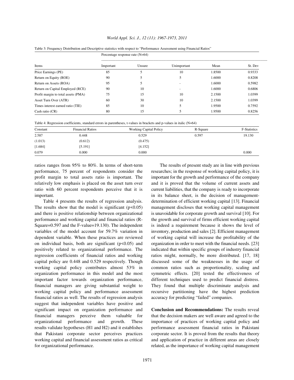### *World Appl. Sci. J., 12 (11): 1967-1973, 2011*

|                                     | Percentage response rate $(N=64)$ |        |             |        |         |  |
|-------------------------------------|-----------------------------------|--------|-------------|--------|---------|--|
| Items                               | Important                         | Unsure | Unimportant | Mean   | St. Dev |  |
| Price Earnings (PE)                 | 85                                |        | 10          | 1.8500 | 0.9333  |  |
| Return on Equity (ROE)              | 90                                |        |             | 1.6000 | 0.8208  |  |
| Return on Assets (ROA)              | 95                                |        |             | 1.6000 | 0.5982  |  |
| Return on Capital Employed (RCE)    | 90                                | 10     |             | 1.6000 | 0.6806  |  |
| Profit margin to total assets (PMA) | 75                                | 15     | 10          | 2.1500 | 1.0399  |  |
| Asset Turn Over (ATR)               | 60                                | 30     | 10          | 2.1500 | 1.0399  |  |
| Times interest earned ratio (TIE)   | 85                                | 10     |             | 1.9500 | 0.7592  |  |
| Cash ratio (CR)                     | 80                                | 15     |             | 1.9500 | 0.8256  |  |

Table 3: Frequency Distribution and Descriptive statistics with respect to "Performance Assessment using Financial Ratios"

Table 4: Regression coefficients, standard errors in parentheses, t-values in brackets and p-values in italic (N=64)

| Constant | <b>Financial Ratios</b> | <b>Working Capital Policy</b> | R-Square | <b>F-Statistics</b> |
|----------|-------------------------|-------------------------------|----------|---------------------|
| 2.587    | 0.448                   | 0.529                         | 0.597    | 19.130              |
| (1.013)  | (0.612)                 | (0.475)                       |          |                     |
| [1.684]  | [5.191]                 | [4.152]                       |          |                     |
| 0.079    | 0.000                   | 0.000                         |          | 0.000               |

ratios ranges from 95% to 80%. In terms of short-term The results of present study are in line with previous performance, 75 percent of respondents consider the researches; in the response of working capital policy, it is profit margin to total assets ratio is important. The important for the growth and performance of the company relatively low emphasis is placed on the asset turn over and it is proved that the volume of current assets and ratio with 60 percent respondents perceive that it is current liabilities, that the company is ready to incorporate important. in its balance sheet, is the decision of management-

The results show that the model is significant  $(p<0.05)$  management discloses that working capital management and there is positive relationship between organizational is unavoidable for corporate growth and survival [10]. For performance and working capital and financial ratios (R- the growth and survival of firms efficient working capital Square=0.597 and the F-value=19.130). The independent is indeed a requirement because it shows the level of variables of the model account for 59.7% variation in inventory, production and sales [2]. Efficient management dependent variable. When these practices are reviewed of working capital will increase the profitability of the on individual basis, both are significant  $(p<0.05)$  and organization in order to meet with the financial needs. [23] positively related to organizational performance. The indicated that within specific groups of industry financial regression coefficients of financial ratios and working ratios might, normally, be more distributed. [17, 18] capital policy are 0.448 and 0.529 respectively. Though discussed some of the weaknesses in the usage of working capital policy contributes almost 53% in common ratios such as proportionality, scaling and organization performance in this model and the most symmetric effects. [20] tested the effectiveness of important factor towards organization performance, different techniques used to predict financial distress. financial managers are giving substantial weight to They found that multiple discriminate analysis and working capital policy and performance assessment recursive partitioning have the highest prediction financial ratios as well. The results of regression analysis accuracy for predicting "failed" companies. suggest that independent variables have positive and significant impact on organization performance and **Conclusion and Recommendations:** The results reveal financial managers perceive them valuable for that the decision makers are well aware and agreed to the organizational performance and growth. These importance of practices of working capital policy and results validate hypotheses (H1 and H2) and it establishes performance assessment financial ratios in Pakistani that Pakistani corporate sector perceives practices corporate sector. It is proved from the results that theory working capital and financial assessment ratios as critical and application of practice in different areas are closely for organizational performance. The related, as the importance of working capital management

Table 4 presents the results of regression analysis. determination of efficient working capital [13]. Financial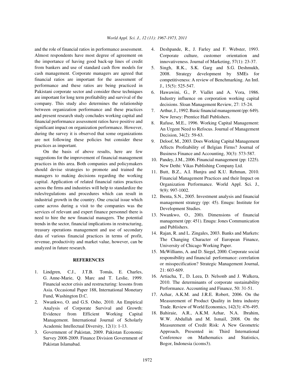Almost respondents have most degree of agreement on the importance of having good back-up lines of credit from bankers and use of standard cash flow models for cash management. Corporate managers are agreed that financial ratios are important for the assessment of performance and these ratios are being practiced in Pakistani corporate sector and consider these techniques are important for long term profitability and survival of the company. This study also determines the relationship between organization performance and these practices and present research study concludes working capital and financial performance assessment ratios have positive and significant impact on organization performance. However, during the survey it is observed that some organizations are not following these policies but consider these practices as important.

On the basis of above results, here are few suggestions for the improvement of financial management practices in this area. Both companies and policymakers should devise strategies to promote and trained the managers to making decisions regarding the working capital. Application of related financial ratios practices across the firms and industries will help to standardize the rules/regulations and procedures which can result in industrial growth in the country. One crucial issue which came across during a visit to the companies was the services of relevant and expert finance personnel there is need to hire the new financial managers. The potential trends in the sector, financial implications in restructuring, treasury operations management and use of secondary data of various financial practices in terms of profit, revenue, productivity and market value, however, can be analyzed in future research.

## **REFERENCES**

- 1. Lindgren, C.J., J.T.B. Tomás, E. Charles, G. Anne-Marie, Q. Marc and T. Leslie, 1999. Financial sector crisis and restructuring: lessons from Asia. Occasional Paper 188, International Monetary Fund, Washington D.C.
- 2. Nwankwo, O. and G.S. Osho, 2010. An Empirical Analysis of Corporate Survival and Growth: Evidence from Efficient Working Capital Management. International Journal of Scholarly Academic Intellectual Diversity, 12(1): 1-13.
- 3. Government of Pakistan, 2009. Pakistan Economic Survey 2008-2009. Finance Division Government of Pakistan Islamabad.
- and the role of financial ratios in performance assessment. 4. Deshpande, R., J. Farley and F. Webster, 1993. Corporate culture, customer orientation and innovativeness. Journal of Marketing, 57(1): 23-37.
	- 5. Singh, R.K., S.K. Garg and S.G. Deshmukh, 2008. Strategy development by SMEs for competitiveness: A review of Benchmarking. An Intl. J., 15(5): 525-547.
	- 6. Hawawini, G., P. Viallet and A. Vora, 1986. Industry influence on corporation working capital decisions. Sloan Management Review, 27: 15-24.
	- 7. Arthur, J., 1992.Basic financial management (pp: 649). New Jersey: Prentice Hall Publishers.
	- 8. Rafuse, M.E., 1996. Working Capital Management: An Urgent Need to Refocus. Journal of Management Decision, 34(2): 59-63.
	- 9. Deloof, M., 2003. Does Working Capital Management Affects Profitability of Belgian Firms? Journal of Business Finance and Accounting, 30(3): 573-587.
	- 10. Pandey, J.M., 2006. Financial management (pp: 1225). New Dethi: Vikas Publishing Company Ltd.
	- 11. Butt, B.Z., A.I. Hunjra and K.U. Rehman, 2010. Financial Management Practices and their Impact on Organization Performance. World Appl. Sci. J., 9(9): 997-1002.
	- 12. Ibenta, S.N., 2005. Investment analysis and financial management strategy (pp: 45). Enugu: Institute for Development Studies.
	- 13. Nwankwo, O., 200). Dimensions of financial management (pp: 451). Enugu: Jones Communication and Publishers.
	- 14. Rajan, R. and L. Zingales, 2003. Banks and Markets: The Changing Character of European Finance, University of Chicago Working Paper.
	- 15. McWilliams, A. and D. Siegel, 2000. Corporate social responsibility and financial performance: correlation or misspecification? Strategic Management Journal, 21: 603-609.
	- 16. Artiacha, T., D. Leea, D. Nelsonb and J. Walkera, 2010. The determinants of corporate sustainability Performance. Accounting and Finance, 50: 31-51.
	- 17. Azhar, A.K.M. and J.R.E. Robert, 2006. On the Measurement of Product Quality in Intra industry Trade. Review of World Economics, 142(3): 476-495.
	- 18. Bahiraie, A.R., A.K.M. Azhar, N.A. Ibrahim, W.W. Abdullah and M. Ismail, 2008. On the Measurement of Credit Risk: A New Geometric Approach, Presented in: Third International Conference on Mathematics and Statistics, Bogor, Indonesia (icoms3).